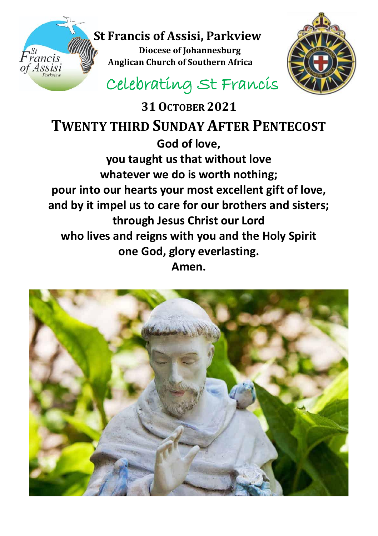## **St Francis of Assisi, Parkview Diocese of Johannesburg**

 *Anglican Church of Southern Africa*<br>Assist **Anglican Church of Southern Africa** 



Celebrating St Francis

**31OCTOBER 2021 TWENTY THIRD SUNDAY AFTER PENTECOST God of love, you taught us that without love whatever we do is worth nothing; pour into our hearts your most excellent gift of love, and by it impel us to care for our brothers and sisters; through Jesus Christ our Lord who lives and reigns with you and the Holy Spirit one God, glory everlasting. Amen.**

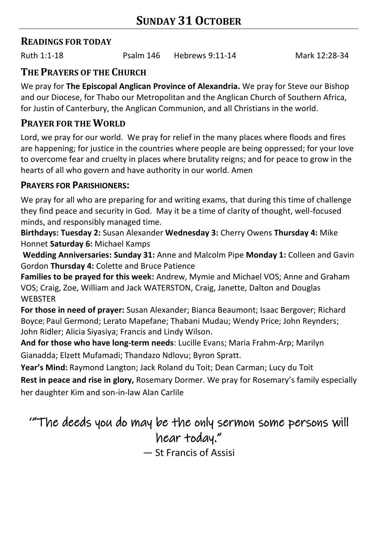### **READINGS FOR TODAY**

Ruth 1:1-18 Psalm 146 Hebrews 9:11-14 Mark 12:28-34

## **THE PRAYERS OF THE CHURCH**

We pray for **The Episcopal Anglican Province of Alexandria.** We pray for Steve our Bishop and our Diocese, for Thabo our Metropolitan and the Anglican Church of Southern Africa, for Justin of Canterbury, the Anglican Communion, and all Christians in the world.

## **PRAYER FOR THE WORLD**

Lord, we pray for our world. We pray for relief in the many places where floods and fires are happening; for justice in the countries where people are being oppressed; for your love to overcome fear and cruelty in places where brutality reigns; and for peace to grow in the hearts of all who govern and have authority in our world. Amen

### **PRAYERS FOR PARISHIONERS:**

We pray for all who are preparing for and writing exams, that during this time of challenge they find peace and security in God. May it be a time of clarity of thought, well-focused minds, and responsibly managed time.

**Birthdays: Tuesday 2:** Susan Alexander **Wednesday 3:** Cherry Owens **Thursday 4:** Mike Honnet **Saturday 6:** Michael Kamps

**Wedding Anniversaries: Sunday 31:** Anne and Malcolm Pipe **Monday 1:** Colleen and Gavin Gordon **Thursday 4:** Colette and Bruce Patience

**Families to be prayed for this week:** Andrew, Mymie and Michael VOS; Anne and Graham VOS; Craig, Zoe, William and Jack WATERSTON, Craig, Janette, Dalton and Douglas **WEBSTER** 

**For those in need of prayer:** Susan Alexander; Bianca Beaumont; Isaac Bergover; Richard Boyce; Paul Germond; Lerato Mapefane; Thabani Mudau; Wendy Price; John Reynders; John Ridler; Alicia Siyasiya; Francis and Lindy Wilson.

**And for those who have long-term needs**: Lucille Evans; Maria Frahm-Arp; Marilyn Gianadda; Elzett Mufamadi; Thandazo Ndlovu; Byron Spratt.

**Year's Mind:** Raymond Langton; Jack Roland du Toit; Dean Carman; Lucy du Toit **Rest in peace and rise in glory,** Rosemary Dormer. We pray for Rosemary's family especially her daughter Kim and son-in-law Alan Carlile

# '"The deeds you do may be the only sermon some persons will hear today."

— St Francis of Assisi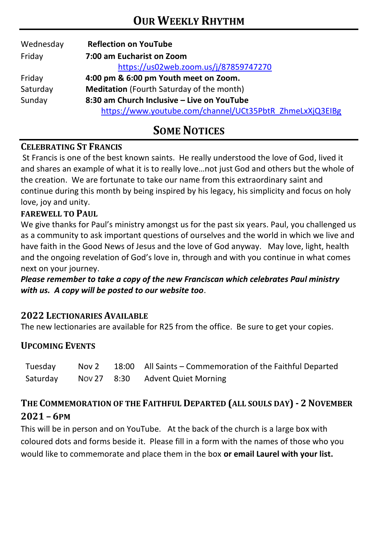| Wednesday | <b>Reflection on YouTube</b>                             |  |  |  |  |
|-----------|----------------------------------------------------------|--|--|--|--|
| Friday    | 7:00 am Eucharist on Zoom                                |  |  |  |  |
|           | https://us02web.zoom.us/j/87859747270                    |  |  |  |  |
| Friday    | 4:00 pm & 6:00 pm Youth meet on Zoom.                    |  |  |  |  |
| Saturday  | Meditation (Fourth Saturday of the month)                |  |  |  |  |
| Sunday    | 8:30 am Church Inclusive – Live on YouTube               |  |  |  |  |
|           | https://www.youtube.com/channel/UCt35PbtR_ZhmeLxXjQ3EIBg |  |  |  |  |

# **SOME NOTICES**

#### **CELEBRATING ST FRANCIS**

St Francis is one of the best known saints. He really understood the love of God, lived it and shares an example of what it is to really love…not just God and others but the whole of the creation. We are fortunate to take our name from this extraordinary saint and continue during this month by being inspired by his legacy, his simplicity and focus on holy love, joy and unity.

#### **FAREWELL TO PAUL**

We give thanks for Paul's ministry amongst us for the past six years. Paul, you challenged us as a community to ask important questions of ourselves and the world in which we live and have faith in the Good News of Jesus and the love of God anyway. May love, light, health and the ongoing revelation of God's love in, through and with you continue in what comes next on your journey.

*Please remember to take a copy of the new Franciscan which celebrates Paul ministry with us. A copy will be posted to our website too*.

#### **2022 LECTIONARIES AVAILABLE**

The new lectionaries are available for R25 from the office. Be sure to get your copies.

#### **UPCOMING EVENTS**

| Tuesday  | Nov 2 | 18:00 All Saints – Commemoration of the Faithful Departed |
|----------|-------|-----------------------------------------------------------|
| Saturday |       | Nov 27 8:30 Advent Quiet Morning                          |

## **THE COMMEMORATION OF THE FAITHFUL DEPARTED (ALL SOULS DAY) - 2NOVEMBER 2021 – 6PM**

This will be in person and on YouTube. At the back of the church is a large box with coloured dots and forms beside it. Please fill in a form with the names of those who you would like to commemorate and place them in the box **or email Laurel with your list.**